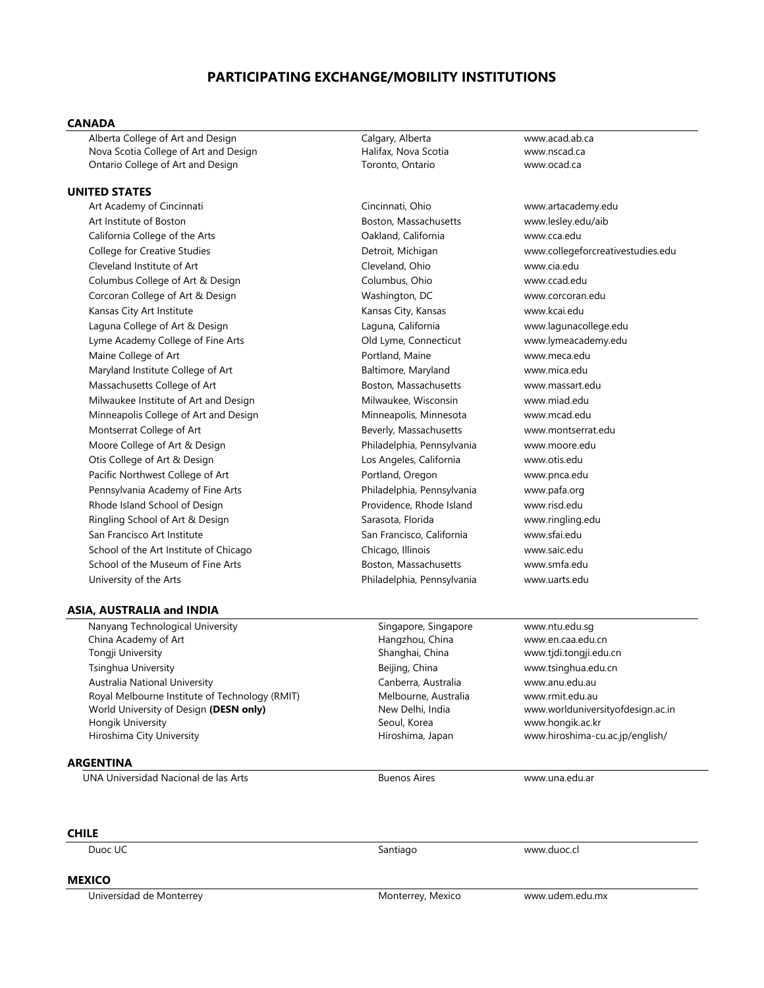# **PARTICIPATING EXCHANGE/MOBILITY INSTITUTIONS**

# **CANADA**

Alberta College of Art and Design Calgary, Alberta www.acad.ab.ca Nova Scotia College of Art and Design Novall Halifax, Nova Scotia metal www.nscad.ca Ontario College of Art and Design Toronto, Ontario www.ocad.ca

# **UNITED STATES**

Art Academy of Cincinnati Cincinnati, Ohio www.artacademy.edu Art Institute of Boston Boston, Massachusetts www.lesley.edu/aib California College of the Arts Oakland, California www.cca.edu College for Creative Studies Detroit, Michigan www.collegeforcreativestudies.edu Cleveland Institute of Art Cleveland, Ohio www.cia.edu Columbus College of Art & Design Columbus, Ohio www.ccad.edu Corcoran College of Art & Design Washington, DC www.corcoran.edu Kansas City Art Institute **Kansas City, Kansas City, Kansas Kansas Kansas Kansas Kansas Kansas www.kcai.edu** Laguna College of Art & Design Laguna, California www.lagunacollege.edu Lyme Academy College of Fine Arts **Collect Arts** Old Lyme, Connecticut www.lymeacademy.edu Maine College of Art Portland, Maine www.meca.edu Maryland Institute College of Art **Baltimore, Maryland** www.mica.edu Massachusetts College of Art **Boston, Massachusetts** www.massart.edu Milwaukee Institute of Art and Design Nilwaukee, Wisconsin Wilwaukee www.miad.edu Minneapolis College of Art and Design Minneapolis, Minneapolis, Minnesota www.mcad.edu Montserrat College of Art **Beverly, Massachusetts** www.montserrat.edu Moore College of Art & Design Philadelphia, Pennsylvania www.moore.edu Otis College of Art & Design Los Angeles, California www.otis.edu Pacific Northwest College of Art **Portland, Oregon** www.pnca.edu Pennsylvania Academy of Fine Arts Philadelphia, Pennsylvania www.pafa.org Rhode Island School of Design Providence, Rhode Island Www.risd.edu Ringling School of Art & Design Sarasota, Florida Sarasota, Florida www.ringling.edu San Francisco Art Institute San Francisco, California www.sfai.edu School of the Art Institute of Chicago Chicago Chicago, Illinois www.saic.edu School of the Museum of Fine Arts **Boston, Massachusetts** www.smfa.edu University of the Arts **Philadelphia, Pennsylvania** www.uarts.edu

# **ASIA, AUSTRALIA and INDIA**

 Nanyang Technological University China Academy of Art Tongji University Shanghai, China www.tjdi.tongji.edu.cn Tsinghua University Beijing, China www.tsinghua.edu.cn Australia National University Royal Melbourne Institute of Technology (RMIT) World University of Design **(DESN only)** Hongik University Hiroshima City University **Hiroshima, Japan www.hiroshima-cu.ac.jp/english/** Hiroshima-cu.ac.jp/english/

### **ARGENTINA**

UNA Universidad Nacional de las Arts **Buenos Aires** Buenos Aires **[www.una.edu.ar](http://www.una.edu.ar/)** 

Singapore, Singapore Hangzhou, China Canberra, Australia Melbourne, Australia New Delhi, India Seoul, Korea

www.ntu.edu.sg www.en.caa.edu.cn www.anu.edu.au www.rmit.edu.au www.worlduniversityofdesign.ac.in www.hongik.ac.kr

#### **CHILE**

Duoc UC Santiago www.duoc.cl

# **MEXICO**

Universidad de Monterrey **Monterrey, Mexico** www.udem.edu.mx